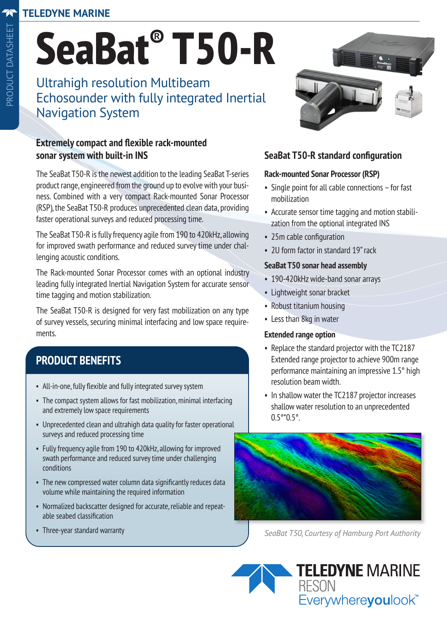### **TELEDYNE MARINE**

Ultrahigh resolution Multibeam Echosounder with fully integrated Inertial Navigation System

### **Extremely compact and flexible rack-mounted sonar system with built-in INS**

The SeaBat T50-R is the newest addition to the leading SeaBat T-series product range, engineered from the ground up to evolve with your business. Combined with a very compact Rack-mounted Sonar Processor (RSP), the SeaBat T50-R produces unprecedented clean data, providing faster operational surveys and reduced processing time.

The SeaBat T50-R is fully frequency agile from 190 to 420kHz, allowing for improved swath performance and reduced survey time under challenging acoustic conditions.

The Rack-mounted Sonar Processor comes with an optional industry leading fully integrated Inertial Navigation System for accurate sensor time tagging and motion stabilization.

The SeaBat T50-R is designed for very fast mobilization on any type of survey vessels, securing minimal interfacing and low space requirements.

# **PRODUCT BENEFITS**

- All-in-one, fully flexible and fully integrated survey system
- The compact system allows for fast mobilization, minimal interfacing and extremely low space requirements
- Unprecedented clean and ultrahigh data quality for faster operational surveys and reduced processing time
- Fully frequency agile from 190 to 420kHz, allowing for improved swath performance and reduced survey time under challenging conditions
- The new compressed water column data significantly reduces data volume while maintaining the required information
- Normalized backscatter designed for accurate, reliable and repeatable seabed classification
- Three-year standard warranty



### **SeaBat T50-R standard configuration**

### **Rack-mounted Sonar Processor (RSP)**

- Single point for all cable connections for fast mobilization
- Accurate sensor time tagging and motion stabilization from the optional integrated INS
- 25m cable configuration
- 2U form factor in standard 19" rack

### **SeaBat T50 sonar head assembly**

- 190-420kHz wide-band sonar arrays
- Lightweight sonar bracket
- Robust titanium housing
- Less than 8kg in water

### **Extended range option**

- Replace the standard projector with the TC2187 Extended range projector to achieve 900m range performance maintaining an impressive 1.5° high resolution beam width.
- In shallow water the TC2187 projector increases shallow water resolution to an unprecedented 0.5°\*0.5°.



*SeaBat T50, Courtesy of Hamburg Port Authority*